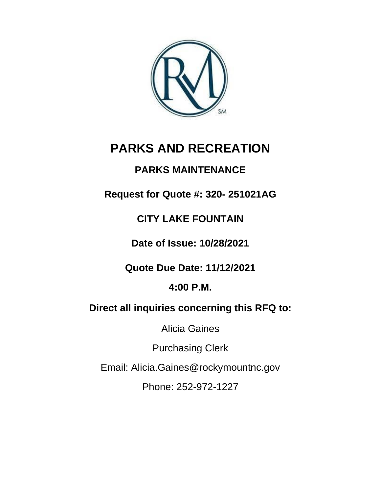

# **PARKS AND RECREATION**

# **PARKS MAINTENANCE**

**Request for Quote #: 320- 251021AG**

# **CITY LAKE FOUNTAIN**

**Date of Issue: 10/28/2021**

**Quote Due Date: 11/12/2021**

**4:00 P.M.**

**Direct all inquiries concerning this RFQ to:** 

Alicia Gaines

Purchasing Clerk

Email: Alicia.Gaines@rockymountnc.gov

Phone: 252-972-1227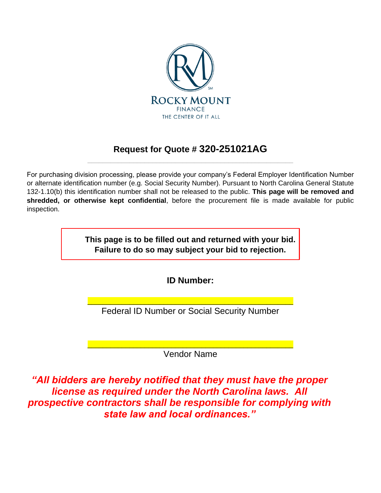

# **Request for Quote # 320-251021AG** \_\_\_\_\_\_\_\_\_\_\_\_\_\_\_\_\_\_\_\_\_\_\_\_\_\_\_\_\_\_\_\_\_\_\_\_\_\_\_\_\_\_\_\_\_\_\_\_\_\_\_\_\_\_

For purchasing division processing, please provide your company's Federal Employer Identification Number or alternate identification number (e.g. Social Security Number). Pursuant to North Carolina General Statute 132-1.10(b) this identification number shall not be released to the public. **This page will be removed and shredded, or otherwise kept confidential**, before the procurement file is made available for public inspection.

> **This page is to be filled out and returned with your bid. Failure to do so may subject your bid to rejection.**

> > **ID Number:**

\_\_\_\_\_\_\_\_\_\_\_\_\_\_\_\_\_\_\_\_\_\_\_\_\_\_\_\_\_\_\_\_\_\_\_\_\_\_\_\_\_\_\_\_\_\_\_\_\_\_\_\_\_\_ Federal ID Number or Social Security Number

\_\_\_\_\_\_\_\_\_\_\_\_\_\_\_\_\_\_\_\_\_\_\_\_\_\_\_\_\_\_\_\_\_\_\_\_\_\_\_\_\_\_\_\_\_\_\_\_\_\_\_\_\_\_ Vendor Name

*"All bidders are hereby notified that they must have the proper license as required under the North Carolina laws. All prospective contractors shall be responsible for complying with state law and local ordinances."*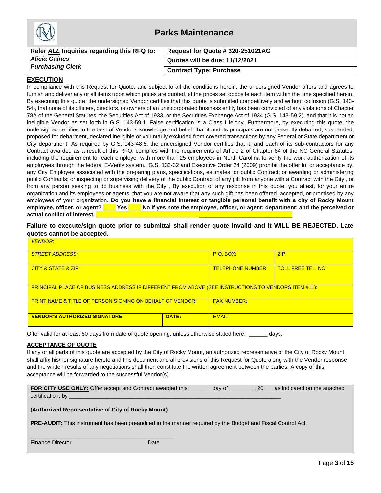| <b>Parks Maintenance</b>                   |                                  |
|--------------------------------------------|----------------------------------|
| Refer ALL Inquiries regarding this RFQ to: | Request for Quote # 320-251021AG |
| <b>Alicia Gaines</b>                       | Quotes will be due: 11/12/2021   |
| <b>Purchasing Clerk</b>                    | <b>Contract Type: Purchase</b>   |

#### **EXECUTION**

In compliance with this Request for Quote, and subject to all the conditions herein, the undersigned Vendor offers and agrees to furnish and deliver any or all items upon which prices are quoted, at the prices set opposite each item within the time specified herein. By executing this quote, the undersigned Vendor certifies that this quote is submitted competitively and without collusion (G.S. 143- 54), that none of its officers, directors, or owners of an unincorporated business entity has been convicted of any violations of Chapter 78A of the General Statutes, the Securities Act of 1933, or the Securities Exchange Act of 1934 (G.S. 143-59.2), and that it is not an ineligible Vendor as set forth in G.S. 143-59.1. False certification is a Class I felony. Furthermore, by executing this quote, the undersigned certifies to the best of Vendor's knowledge and belief, that it and its principals are not presently debarred, suspended, proposed for debarment, declared ineligible or voluntarily excluded from covered transactions by any Federal or State department or City department. As required by G.S. 143-48.5, the undersigned Vendor certifies that it, and each of its sub-contractors for any Contract awarded as a result of this RFQ, complies with the requirements of Article 2 of Chapter 64 of the NC General Statutes, including the requirement for each employer with more than 25 employees in North Carolina to verify the work authorization of its employees through the federal E-Verify system. G.S. 133-32 and Executive Order 24 (2009) prohibit the offer to, or acceptance by, any City Employee associated with the preparing plans, specifications, estimates for public Contract; or awarding or administering public Contracts; or inspecting or supervising delivery of the public Contract of any gift from anyone with a Contract with the City , or from any person seeking to do business with the City . By execution of any response in this quote, you attest, for your entire organization and its employees or agents, that you are not aware that any such gift has been offered, accepted, or promised by any employees of your organization. **Do you have a financial interest or tangible personal benefit with a city of Rocky Mount employee, officer, or agent? \_\_\_\_ Yes \_\_\_\_ No If yes note the employee, officer, or agent; department; and the perceived or**  actual conflict of interest.

**Failure to execute/sign quote prior to submittal shall render quote invalid and it WILL BE REJECTED. Late quotes cannot be accepted.**

| <b>VENDOR:</b>                                                                                             |       |                          |                           |
|------------------------------------------------------------------------------------------------------------|-------|--------------------------|---------------------------|
| <b>STREET ADDRESS:</b>                                                                                     |       | $P.O.$ BOX:              | ZIP:                      |
| CITY & STATE & ZIP:                                                                                        |       | <b>TELEPHONE NUMBER:</b> | <b>TOLL FREE TEL. NO:</b> |
| <b>PRINCIPAL PLACE OF BUSINESS ADDRESS IF DIFFERENT FROM ABOVE (SEE INSTRUCTIONS TO VENDORS ITEM #11):</b> |       |                          |                           |
| <b>PRINT NAME &amp; TITLE OF PERSON SIGNING ON BEHALF OF VENDOR:</b>                                       |       | <b>FAX NUMBER:</b>       |                           |
| <b>VENDOR'S AUTHORIZED SIGNATURE:</b>                                                                      | DATE: | EMAIL:                   |                           |

Offer valid for at least 60 days from date of quote opening, unless otherwise stated here: \_\_\_\_\_\_ days.

#### **ACCEPTANCE OF QUOTE**

If any or all parts of this quote are accepted by the City of Rocky Mount, an authorized representative of the City of Rocky Mount shall affix his/her signature hereto and this document and all provisions of this Request for Quote along with the Vendor response and the written results of any negotiations shall then constitute the written agreement between the parties. A copy of this acceptance will be forwarded to the successful Vendor(s).

| FOR CITY USE ONLY: Offer accept and Contract awarded this | day of | . 20 | as indicated on the attached |
|-----------------------------------------------------------|--------|------|------------------------------|
| certification, by                                         |        |      |                              |

#### **(Authorized Representative of City of Rocky Mount)**

**\_\_\_\_\_\_\_\_\_\_\_\_\_\_\_\_\_\_\_\_\_\_\_\_\_\_\_\_\_\_\_\_\_\_\_\_\_\_\_\_\_\_\_\_\_\_**

**PRE-AUDIT:** This instrument has been preaudited in the manner required by the Budget and Fiscal Control Act.

| Finance Director | Date |
|------------------|------|
|------------------|------|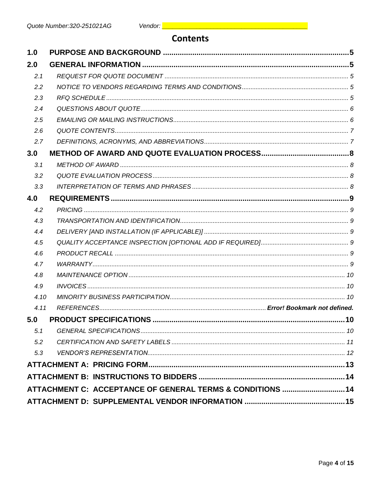# **Contents**

| 1.0  |                                                            |  |
|------|------------------------------------------------------------|--|
| 2.0  |                                                            |  |
| 2.1  |                                                            |  |
| 2.2  |                                                            |  |
| 2.3  |                                                            |  |
| 2.4  |                                                            |  |
| 2.5  |                                                            |  |
| 2.6  |                                                            |  |
| 2.7  |                                                            |  |
| 3.0  |                                                            |  |
| 3.1  |                                                            |  |
| 3.2  |                                                            |  |
| 3.3  |                                                            |  |
| 4.0  |                                                            |  |
| 4.2  |                                                            |  |
| 4.3  |                                                            |  |
| 4.4  |                                                            |  |
| 4.5  |                                                            |  |
| 4.6  |                                                            |  |
| 4.7  |                                                            |  |
| 4.8  |                                                            |  |
| 4.9  |                                                            |  |
| 4.10 |                                                            |  |
| 4.11 |                                                            |  |
| 5.0  |                                                            |  |
| 5.1  |                                                            |  |
| 5.2  |                                                            |  |
| 5.3  |                                                            |  |
|      |                                                            |  |
|      |                                                            |  |
|      | ATTACHMENT C: ACCEPTANCE OF GENERAL TERMS & CONDITIONS  14 |  |
|      |                                                            |  |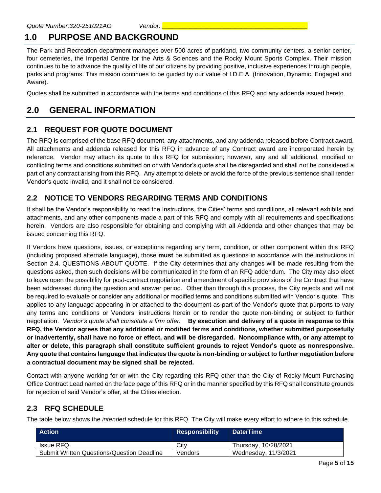# **1.0 PURPOSE AND BACKGROUND**

The Park and Recreation department manages over 500 acres of parkland, two community centers, a senior center, four cemeteries, the Imperial Centre for the Arts & Sciences and the Rocky Mount Sports Complex. Their mission continues to be to advance the quality of life of our citizens by providing positive, inclusive experiences through people, parks and programs. This mission continues to be guided by our value of I.D.E.A. (Innovation, Dynamic, Engaged and Aware).

Quotes shall be submitted in accordance with the terms and conditions of this RFQ and any addenda issued hereto.

# **2.0 GENERAL INFORMATION**

# **2.1 REQUEST FOR QUOTE DOCUMENT**

The RFQ is comprised of the base RFQ document, any attachments, and any addenda released before Contract award. All attachments and addenda released for this RFQ in advance of any Contract award are incorporated herein by reference. Vendor may attach its quote to this RFQ for submission; however, any and all additional, modified or conflicting terms and conditions submitted on or with Vendor's quote shall be disregarded and shall not be considered a part of any contract arising from this RFQ. Any attempt to delete or avoid the force of the previous sentence shall render Vendor's quote invalid, and it shall not be considered.

### **2.2 NOTICE TO VENDORS REGARDING TERMS AND CONDITIONS**

It shall be the Vendor's responsibility to read the Instructions, the Cities' terms and conditions, all relevant exhibits and attachments, and any other components made a part of this RFQ and comply with all requirements and specifications herein. Vendors are also responsible for obtaining and complying with all Addenda and other changes that may be issued concerning this RFQ.

If Vendors have questions, issues, or exceptions regarding any term, condition, or other component within this RFQ (including proposed alternate language), those **must** be submitted as questions in accordance with the instructions in Section 2.4. QUESTIONS ABOUT QUOTE. If the City determines that any changes will be made resulting from the questions asked, then such decisions will be communicated in the form of an RFQ addendum. The City may also elect to leave open the possibility for post-contract negotiation and amendment of specific provisions of the Contract that have been addressed during the question and answer period. Other than through this process, the City rejects and will not be required to evaluate or consider any additional or modified terms and conditions submitted with Vendor's quote. This applies to any language appearing in or attached to the document as part of the Vendor's quote that purports to vary any terms and conditions or Vendors' instructions herein or to render the quote non-binding or subject to further negotiation. *Vendor's quote shall constitute a firm offer.* **By execution and delivery of a quote in response to this RFQ, the Vendor agrees that any additional or modified terms and conditions, whether submitted purposefully or inadvertently, shall have no force or effect, and will be disregarded. Noncompliance with, or any attempt to alter or delete, this paragraph shall constitute sufficient grounds to reject Vendor's quote as nonresponsive. Any quote that contains language that indicates the quote is non-binding or subject to further negotiation before a contractual document may be signed shall be rejected.**

Contact with anyone working for or with the City regarding this RFQ other than the City of Rocky Mount Purchasing Office Contract Lead named on the face page of this RFQ or in the manner specified by this RFQ shall constitute grounds for rejection of said Vendor's offer, at the Cities election.

# **2.3 RFQ SCHEDULE**

The table below shows the *intended* schedule for this RFQ. The City will make every effort to adhere to this schedule.

| <b>Action</b>                                     | <b>Responsibility</b> | Date/Time            |
|---------------------------------------------------|-----------------------|----------------------|
| Issue RFQ                                         | City                  | Thursday, 10/28/2021 |
| <b>Submit Written Questions/Question Deadline</b> | Vendors               | Wednesday, 11/3/2021 |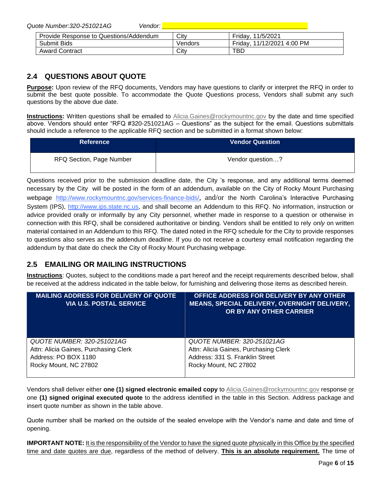*Quote Number:320-251021AG Vendor: \_\_\_\_\_\_\_\_\_\_\_\_\_\_\_\_\_\_\_\_\_\_\_\_\_\_\_\_\_\_\_\_\_\_\_\_\_\_\_\_\_\_*

| Provide Response to Questions/Addendum | City    | Friday,<br>11/5/2021       |
|----------------------------------------|---------|----------------------------|
| Submit Bids                            | Vendors | Friday, 11/12/2021 4:00 PM |
| <b>Award Contract</b>                  | City    | TBD                        |

### **2.4 QUESTIONS ABOUT QUOTE**

**Purpose:** Upon review of the RFQ documents, Vendors may have questions to clarify or interpret the RFQ in order to submit the best quote possible. To accommodate the Quote Questions process, Vendors shall submit any such questions by the above due date.

**Instructions:** Written questions shall be emailed to [Alicia.Gaines@rockymountnc.gov](mailto:debra.harris@rockymountnc.gov) by the date and time specified above. Vendors should enter "RFQ #320-251021AG – Questions" as the subject for the email. Questions submittals should include a reference to the applicable RFQ section and be submitted in a format shown below:

| <b>Reference</b>                | <b>Vendor Question</b> |
|---------------------------------|------------------------|
| <b>RFQ Section, Page Number</b> | Vendor question?       |

Questions received prior to the submission deadline date, the City 's response, and any additional terms deemed necessary by the City will be posted in the form of an addendum, available on the City of Rocky Mount Purchasing webpage http://www.rockymountnc.gov/services-finance-bids/, and/or the North Carolina's Interactive Purchasing System (IPS), [http://www.ips.state.nc.us,](http://www.ips.state.nc.us/) and shall become an Addendum to this RFQ. No information, instruction or advice provided orally or informally by any City personnel, whether made in response to a question or otherwise in connection with this RFQ, shall be considered authoritative or binding. Vendors shall be entitled to rely *only* on written material contained in an Addendum to this RFQ. The dated noted in the RFQ schedule for the City to provide responses to questions also serves as the addendum deadline. If you do not receive a courtesy email notification regarding the addendum by that date do check the City of Rocky Mount Purchasing webpage.

# **2.5 EMAILING OR MAILING INSTRUCTIONS**

**Instructions**: Quotes, subject to the conditions made a part hereof and the receipt requirements described below, shall be received at the address indicated in the table below, for furnishing and delivering those items as described herein.

| <b>MAILING ADDRESS FOR DELIVERY OF QUOTE</b><br><b>VIA U.S. POSTAL SERVICE</b> | OFFICE ADDRESS FOR DELIVERY BY ANY OTHER<br>MEANS, SPECIAL DELIVERY, OVERNIGHT DELIVERY,<br>OR BY ANY OTHER CARRIER |
|--------------------------------------------------------------------------------|---------------------------------------------------------------------------------------------------------------------|
| QUOTE NUMBER: 320-251021AG                                                     | QUOTE NUMBER: 320-251021AG                                                                                          |
| Attn: Alicia Gaines, Purchasing Clerk                                          | Attn: Alicia Gaines, Purchasing Clerk                                                                               |
| Address: PO BOX 1180                                                           | Address: 331 S. Franklin Street                                                                                     |
| Rocky Mount, NC 27802                                                          | Rocky Mount, NC 27802                                                                                               |

Vendors shall deliver either **one (1) signed electronic emailed copy** t[o Alicia.Gaines@rockymountnc.gov](mailto:debra.harris@rockymountnc.gov) response or one **(1) signed original executed quote** to the address identified in the table in this Section. Address package and insert quote number as shown in the table above.

Quote number shall be marked on the outside of the sealed envelope with the Vendor's name and date and time of opening.

**IMPORTANT NOTE:** It is the responsibility of the Vendor to have the signed quote physically in this Office by the specified time and date quotes are due, regardless of the method of delivery. **This is an absolute requirement.** The time of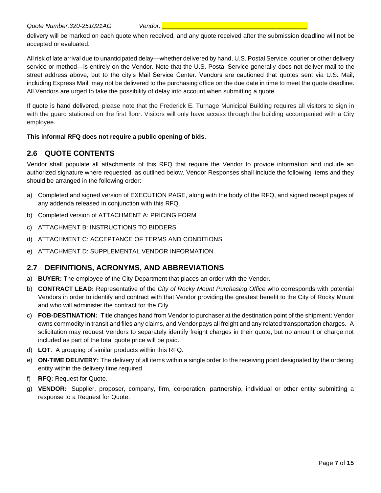delivery will be marked on each quote when received, and any quote received after the submission deadline will not be accepted or evaluated.

All risk of late arrival due to unanticipated delay—whether delivered by hand, U.S. Postal Service, courier or other delivery service or method—is entirely on the Vendor. Note that the U.S. Postal Service generally does not deliver mail to the street address above, but to the city's Mail Service Center. Vendors are cautioned that quotes sent via U.S. Mail, including Express Mail, may not be delivered to the purchasing office on the due date in time to meet the quote deadline. All Vendors are urged to take the possibility of delay into account when submitting a quote.

If quote is hand delivered, please note that the Frederick E. Turnage Municipal Building requires all visitors to sign in with the guard stationed on the first floor. Visitors will only have access through the building accompanied with a City employee.

#### **This informal RFQ does not require a public opening of bids.**

### **2.6 QUOTE CONTENTS**

Vendor shall populate all attachments of this RFQ that require the Vendor to provide information and include an authorized signature where requested, as outlined below. Vendor Responses shall include the following items and they should be arranged in the following order:

- a) Completed and signed version of EXECUTION PAGE, along with the body of the RFQ, and signed receipt pages of any addenda released in conjunction with this RFQ.
- b) Completed version of ATTACHMENT A: PRICING FORM
- c) ATTACHMENT B: INSTRUCTIONS TO BIDDERS
- d) ATTACHMENT C: ACCEPTANCE OF TERMS AND CONDITIONS
- e) ATTACHMENT D: SUPPLEMENTAL VENDOR INFORMATION

#### **2.7 DEFINITIONS, ACRONYMS, AND ABBREVIATIONS**

- a) **BUYER:** The employee of the City Department that places an order with the Vendor.
- b) **CONTRACT LEAD:** Representative of the *City of Rocky Mount Purchasing Office* who corresponds with potential Vendors in order to identify and contract with that Vendor providing the greatest benefit to the City of Rocky Mount and who will administer the contract for the City.
- c) **FOB-DESTINATION:** Title changes hand from Vendor to purchaser at the destination point of the shipment; Vendor owns commodity in transit and files any claims, and Vendor pays all freight and any related transportation charges. A solicitation may request Vendors to separately identify freight charges in their quote, but no amount or charge not included as part of the total quote price will be paid.
- d) **LOT**: A grouping of similar products within this RFQ.
- e) **ON-TIME DELIVERY:** The delivery of all items within a single order to the receiving point designated by the ordering entity within the delivery time required.
- f) **RFQ:** Request for Quote.
- g) **VENDOR:** Supplier, proposer, company, firm, corporation, partnership, individual or other entity submitting a response to a Request for Quote.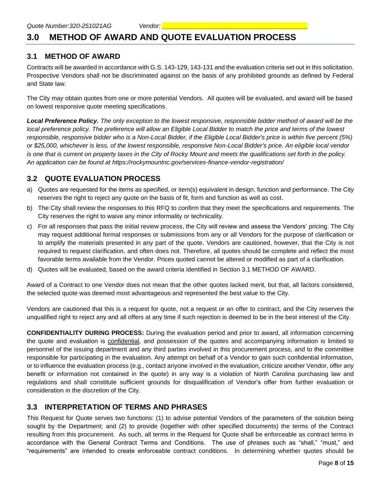# **3.0 METHOD OF AWARD AND QUOTE EVALUATION PROCESS**

#### **3.1 METHOD OF AWARD**

Contracts will be awarded in accordance with G.S. 143-129, 143-131 and the evaluation criteria set out in this solicitation. Prospective Vendors shall not be discriminated against on the basis of any prohibited grounds as defined by Federal and State law.

The City may obtain quotes from one or more potential Vendors. All quotes will be evaluated, and award will be based on lowest responsive quote meeting specifications.

*Local Preference Policy. The only exception to the lowest responsive, responsible bidder method of award will be the local preference policy. The preference will allow an Eligible Local Bidder to match the price and terms of the lowest responsible, responsive bidder who is a Non-Local Bidder, if the Eligible Local Bidder's price is within five percent (5%) or \$25,000, whichever is less, of the lowest responsible, responsive Non-Local Bidder's price. An eligible local vendor is one that is current on property taxes in the City of Rocky Mount and meets the qualifications set forth in the policy. An application can be found at https://rockymountnc.gov/services-finance-vendor-registration/*

#### **3.2 QUOTE EVALUATION PROCESS**

- a) Quotes are requested for the items as specified, or item(s) equivalent in design, function and performance. The City reserves the right to reject any quote on the basis of fit, form and function as well as cost.
- b) The City shall review the responses to this RFQ to confirm that they meet the specifications and requirements. The City reserves the right to waive any minor informality or technicality.
- c) For all responses that pass the initial review process, the City will review and assess the Vendors' pricing. The City may request additional formal responses or submissions from any or all Vendors for the purpose of clarification or to amplify the materials presented in any part of the quote. Vendors are cautioned, however, that the City is not required to request clarification, and often does not. Therefore, all quotes should be complete and reflect the most favorable terms available from the Vendor. Prices quoted cannot be altered or modified as part of a clarification.
- d) Quotes will be evaluated, based on the award criteria identified in Section 3.1 METHOD OF AWARD.

Award of a Contract to one Vendor does not mean that the other quotes lacked merit, but that, all factors considered, the selected quote was deemed most advantageous and represented the best value to the City.

Vendors are cautioned that this is a request for quote, not a request or an offer to contract, and the City reserves the unqualified right to reject any and all offers at any time if such rejection is deemed to be in the best interest of the City.

**CONFIDENTIALITY DURING PROCESS:** During the evaluation period and prior to award, all information concerning the quote and evaluation is confidential, and possession of the quotes and accompanying information is limited to personnel of the issuing department and any third parties involved in this procurement process, and to the committee responsible for participating in the evaluation. Any attempt on behalf of a Vendor to gain such confidential information, or to influence the evaluation process (e.g., contact anyone involved in the evaluation, criticize another Vendor, offer any benefit or information not contained in the quote) in any way is a violation of North Carolina purchasing law and regulations and shall constitute sufficient grounds for disqualification of Vendor's offer from further evaluation or consideration in the discretion of the City.

#### **3.3 INTERPRETATION OF TERMS AND PHRASES**

This Request for Quote serves two functions: (1) to advise potential Vendors of the parameters of the solution being sought by the Department; and (2) to provide (together with other specified documents) the terms of the Contract resulting from this procurement. As such, all terms in the Request for Quote shall be enforceable as contract terms in accordance with the General Contract Terms and Conditions. The use of phrases such as "shall," "must," and "requirements" are intended to create enforceable contract conditions. In determining whether quotes should be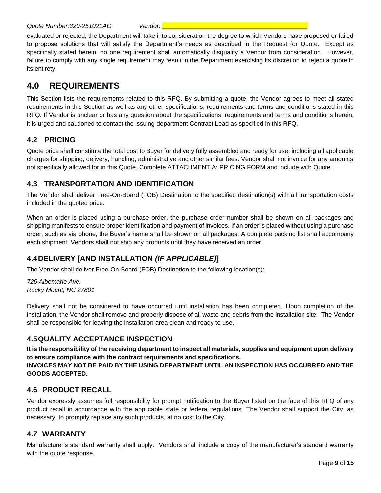evaluated or rejected, the Department will take into consideration the degree to which Vendors have proposed or failed to propose solutions that will satisfy the Department's needs as described in the Request for Quote. Except as specifically stated herein, no one requirement shall automatically disqualify a Vendor from consideration. However, failure to comply with any single requirement may result in the Department exercising its discretion to reject a quote in its entirety.

# **4.0 REQUIREMENTS**

This Section lists the requirements related to this RFQ. By submitting a quote, the Vendor agrees to meet all stated requirements in this Section as well as any other specifications, requirements and terms and conditions stated in this RFQ. If Vendor is unclear or has any question about the specifications, requirements and terms and conditions herein, it is urged and cautioned to contact the issuing department Contract Lead as specified in this RFQ.

# **4.2 PRICING**

Quote price shall constitute the total cost to Buyer for delivery fully assembled and ready for use, including all applicable charges for shipping, delivery, handling, administrative and other similar fees. Vendor shall not invoice for any amounts not specifically allowed for in this Quote. Complete ATTACHMENT A: PRICING FORM and include with Quote.

# **4.3 TRANSPORTATION AND IDENTIFICATION**

The Vendor shall deliver Free-On-Board (FOB) Destination to the specified destination(s) with all transportation costs included in the quoted price.

When an order is placed using a purchase order, the purchase order number shall be shown on all packages and shipping manifests to ensure proper identification and payment of invoices. If an order is placed without using a purchase order, such as via phone, the Buyer's name shall be shown on all packages. A complete packing list shall accompany each shipment. Vendors shall not ship any products until they have received an order.

# **4.4DELIVERY [AND INSTALLATION** *(IF APPLICABLE)***]**

The Vendor shall deliver Free-On-Board (FOB) Destination to the following location(s):

*726 Albemarle Ave. Rocky Mount, NC 27801*

Delivery shall not be considered to have occurred until installation has been completed. Upon completion of the installation, the Vendor shall remove and properly dispose of all waste and debris from the installation site. The Vendor shall be responsible for leaving the installation area clean and ready to use.

# **4.5QUALITY ACCEPTANCE INSPECTION**

**It is the responsibility of the receiving department to inspect all materials, supplies and equipment upon delivery to ensure compliance with the contract requirements and specifications. INVOICES MAY NOT BE PAID BY THE USING DEPARTMENT UNTIL AN INSPECTION HAS OCCURRED AND THE GOODS ACCEPTED.**

#### **4.6 PRODUCT RECALL**

Vendor expressly assumes full responsibility for prompt notification to the Buyer listed on the face of this RFQ of any product recall in accordance with the applicable state or federal regulations. The Vendor shall support the City, as necessary, to promptly replace any such products, at no cost to the City.

# **4.7 WARRANTY**

Manufacturer's standard warranty shall apply. Vendors shall include a copy of the manufacturer's standard warranty with the quote response.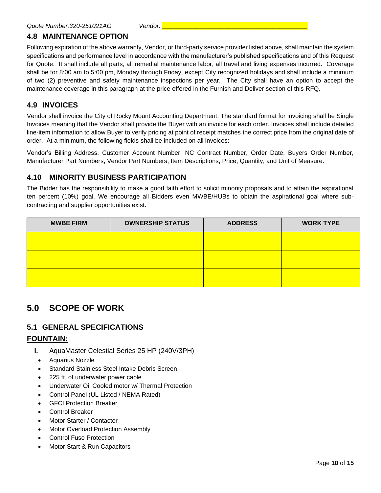#### **4.8 MAINTENANCE OPTION**

Following expiration of the above warranty, Vendor, or third-party service provider listed above, shall maintain the system specifications and performance level in accordance with the manufacturer's published specifications and of this Request for Quote. It shall include all parts, all remedial maintenance labor, all travel and living expenses incurred. Coverage shall be for 8:00 am to 5:00 pm, Monday through Friday, except City recognized holidays and shall include a minimum of two (2) preventive and safety maintenance inspections per year. The City shall have an option to accept the maintenance coverage in this paragraph at the price offered in the Furnish and Deliver section of this RFQ.

#### **4.9 INVOICES**

Vendor shall invoice the City of Rocky Mount Accounting Department. The standard format for invoicing shall be Single Invoices meaning that the Vendor shall provide the Buyer with an invoice for each order. Invoices shall include detailed line-item information to allow Buyer to verify pricing at point of receipt matches the correct price from the original date of order. At a minimum, the following fields shall be included on all invoices:

Vendor's Billing Address, Customer Account Number, NC Contract Number, Order Date, Buyers Order Number, Manufacturer Part Numbers, Vendor Part Numbers, Item Descriptions, Price, Quantity, and Unit of Measure.

#### **4.10 MINORITY BUSINESS PARTICIPATION**

The Bidder has the responsibility to make a good faith effort to solicit minority proposals and to attain the aspirational ten percent (10%) goal. We encourage all Bidders even MWBE/HUBs to obtain the aspirational goal where subcontracting and supplier opportunities exist.

| <b>MWBE FIRM</b> | <b>OWNERSHIP STATUS</b> | <b>ADDRESS</b> | <b>WORK TYPE</b> |
|------------------|-------------------------|----------------|------------------|
|                  |                         |                |                  |
|                  |                         |                |                  |
|                  |                         |                |                  |
|                  |                         |                |                  |

# **5.0 SCOPE OF WORK**

#### **5.1 GENERAL SPECIFICATIONS**

#### **FOUNTAIN:**

- **I.** AquaMaster Celestial Series 25 HP (240V/3PH)
- Aquarius Nozzle
- Standard Stainless Steel Intake Debris Screen
- 225 ft. of underwater power cable
- Underwater Oil Cooled motor w/ Thermal Protection
- Control Panel (UL Listed / NEMA Rated)
- GFCI Protection Breaker
- Control Breaker
- Motor Starter / Contactor
- Motor Overload Protection Assembly
- Control Fuse Protection
- Motor Start & Run Capacitors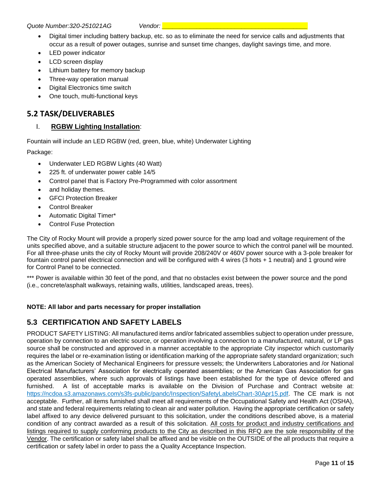*Quote Number:320-251021AG Vendor: \_\_\_\_\_\_\_\_\_\_\_\_\_\_\_\_\_\_\_\_\_\_\_\_\_\_\_\_\_\_\_\_\_\_\_\_\_\_\_\_\_\_*

- Digital timer including battery backup, etc. so as to eliminate the need for service calls and adjustments that occur as a result of power outages, sunrise and sunset time changes, daylight savings time, and more.
- LED power indicator
- LCD screen display
- Lithium battery for memory backup
- Three-way operation manual
- Digital Electronics time switch
- One touch, multi-functional keys

# **5.2 TASK/DELIVERABLES**

#### I. **RGBW Lighting Installation**:

Fountain will include an LED RGBW (red, green, blue, white) Underwater Lighting

Package:

- Underwater LED RGBW Lights (40 Watt)
- 225 ft. of underwater power cable 14/5
- Control panel that is Factory Pre-Programmed with color assortment
- and holiday themes.
- GFCI Protection Breaker
- Control Breaker
- Automatic Digital Timer\*
- Control Fuse Protection

The City of Rocky Mount will provide a properly sized power source for the amp load and voltage requirement of the units specified above, and a suitable structure adjacent to the power source to which the control panel will be mounted. For all three-phase units the city of Rocky Mount will provide 208/240V or 460V power source with a 3-pole breaker for fountain control panel electrical connection and will be configured with 4 wires (3 hots + 1 neutral) and 1 ground wire for Control Panel to be connected.

\*\*\* Power is available within 30 feet of the pond, and that no obstacles exist between the power source and the pond (i.e., concrete/asphalt walkways, retaining walls, utilities, landscaped areas, trees).

#### **NOTE: All labor and parts necessary for proper installation**

#### **5.3 CERTIFICATION AND SAFETY LABELS**

PRODUCT SAFETY LISTING: All manufactured items and/or fabricated assemblies subject to operation under pressure, operation by connection to an electric source, or operation involving a connection to a manufactured, natural, or LP gas source shall be constructed and approved in a manner acceptable to the appropriate City inspector which customarily requires the label or re-examination listing or identification marking of the appropriate safety standard organization; such as the American Society of Mechanical Engineers for pressure vessels; the Underwriters Laboratories and /or National Electrical Manufacturers' Association for electrically operated assemblies; or the American Gas Association for gas operated assemblies, where such approvals of listings have been established for the type of device offered and furnished. A list of acceptable marks is available on the Division of Purchase and Contract website at: [https://ncdoa.s3.amazonaws.com/s3fs-public/pandc/Inspection/SafetyLabelsChart-30Apr15.pdf.](https://ncdoa.s3.amazonaws.com/s3fs-public/pandc/Inspection/SafetyLabelsChart-30Apr15.pdf) The CE mark is not acceptable. Further, all items furnished shall meet all requirements of the Occupational Safety and Health Act (OSHA), and state and federal requirements relating to clean air and water pollution. Having the appropriate certification or safety label affixed to any device delivered pursuant to this solicitation, under the conditions described above, is a material condition of any contract awarded as a result of this solicitation. All costs for product and industry certifications and listings required to supply conforming products to the City as described in this RFQ are the sole responsibility of the Vendor. The certification or safety label shall be affixed and be visible on the OUTSIDE of the all products that require a certification or safety label in order to pass the a Quality Acceptance Inspection.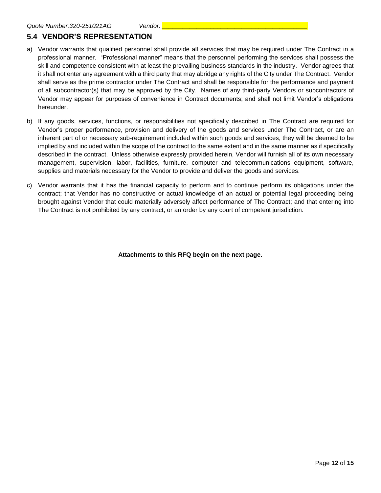# **5.4 VENDOR'S REPRESENTATION**

- a) Vendor warrants that qualified personnel shall provide all services that may be required under The Contract in a professional manner. "Professional manner" means that the personnel performing the services shall possess the skill and competence consistent with at least the prevailing business standards in the industry. Vendor agrees that it shall not enter any agreement with a third party that may abridge any rights of the City under The Contract. Vendor shall serve as the prime contractor under The Contract and shall be responsible for the performance and payment of all subcontractor(s) that may be approved by the City. Names of any third-party Vendors or subcontractors of Vendor may appear for purposes of convenience in Contract documents; and shall not limit Vendor's obligations hereunder.
- b) If any goods, services, functions, or responsibilities not specifically described in The Contract are required for Vendor's proper performance, provision and delivery of the goods and services under The Contract, or are an inherent part of or necessary sub-requirement included within such goods and services, they will be deemed to be implied by and included within the scope of the contract to the same extent and in the same manner as if specifically described in the contract. Unless otherwise expressly provided herein, Vendor will furnish all of its own necessary management, supervision, labor, facilities, furniture, computer and telecommunications equipment, software, supplies and materials necessary for the Vendor to provide and deliver the goods and services.
- c) Vendor warrants that it has the financial capacity to perform and to continue perform its obligations under the contract; that Vendor has no constructive or actual knowledge of an actual or potential legal proceeding being brought against Vendor that could materially adversely affect performance of The Contract; and that entering into The Contract is not prohibited by any contract, or an order by any court of competent jurisdiction.

**Attachments to this RFQ begin on the next page.**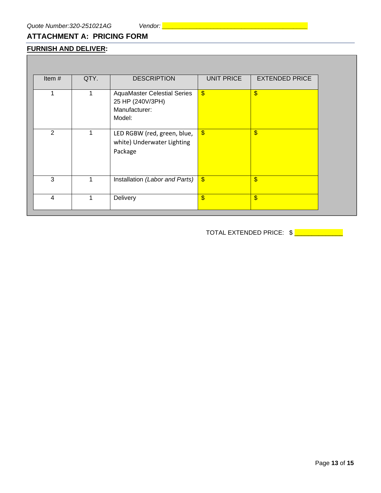# **ATTACHMENT A: PRICING FORM**

# **FURNISH AND DELIVER:**

| Item $#$       | QTY. | <b>DESCRIPTION</b>                 | <b>UNIT PRICE</b>         | <b>EXTENDED PRICE</b> |
|----------------|------|------------------------------------|---------------------------|-----------------------|
|                |      |                                    |                           |                       |
| 1              |      | <b>AquaMaster Celestial Series</b> | $\sqrt[6]{3}$             | $\frac{1}{2}$         |
|                |      | 25 HP (240V/3PH)<br>Manufacturer:  |                           |                       |
|                |      | Model:                             |                           |                       |
|                |      |                                    |                           |                       |
| 2              |      | LED RGBW (red, green, blue,        | $\sqrt[6]{3}$             | $\boldsymbol{\$}$     |
|                |      | white) Underwater Lighting         |                           |                       |
|                |      | Package                            |                           |                       |
|                |      |                                    |                           |                       |
| 3              |      | Installation (Labor and Parts)     | $\boldsymbol{\mathsf{S}}$ | \$                    |
|                |      |                                    |                           |                       |
| $\overline{4}$ |      | Delivery                           | $\frac{1}{2}$             | $\frac{1}{2}$         |
|                |      |                                    |                           |                       |

TOTAL EXTENDED PRICE:  $\frac{1}{2}$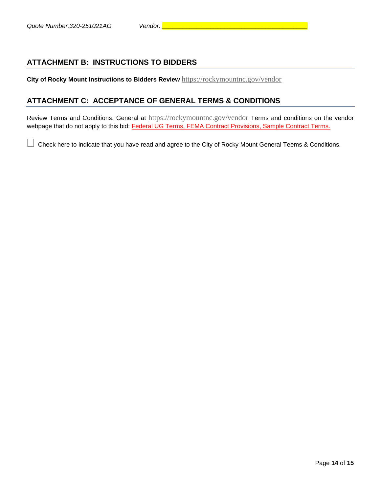## **ATTACHMENT B: INSTRUCTIONS TO BIDDERS**

**City of Rocky Mount Instructions to Bidders Review** <https://rockymountnc.gov/vendor>

#### **ATTACHMENT C: ACCEPTANCE OF GENERAL TERMS & CONDITIONS**

Review Terms and Conditions: General at <https://rockymountnc.gov/vendor> Terms and conditions on the vendor webpage that do not apply to this bid: Federal UG Terms, FEMA Contract Provisions, Sample Contract Terms.

Check here to indicate that you have read and agree to the City of Rocky Mount General Teems & Conditions.